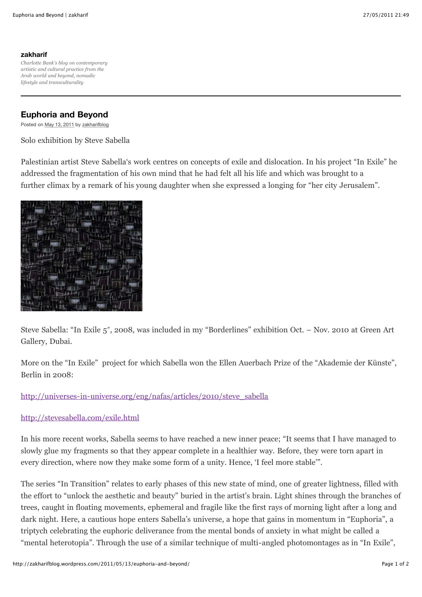# **[zakharif](http://zakharifblog.wordpress.com/)**

*Charlotte Bank's blog on contemporary artistic and cultural practice from the Arab world and beyond, nomadic lifestyle and transculturality*

# **Euphoria and Beyond**

Posted on [May 13, 2011](http://zakharifblog.wordpress.com/2011/05/13/euphoria-and-beyond/) by [zakharifblog](http://zakharifblog.wordpress.com/author/zakharifblog/)

Solo exhibition by Steve Sabella

Palestinian artist Steve Sabella's work centres on concepts of exile and dislocation. In his project "In Exile" he addressed the fragmentation of his own mind that he had felt all his life and which was brought to a further climax by a remark of his young daughter when she expressed a longing for "her city Jerusalem".



Steve Sabella: "In Exile 5", 2008, was included in my "Borderlines" exhibition Oct. – Nov. 2010 at Green Art Gallery, Dubai.

More on the "In Exile" project for which Sabella won the Ellen Auerbach Prize of the "Akademie der Künste", Berlin in 2008:

# [http://universes-in-universe.org/eng/nafas/articles/2010/steve\\_sabella](http://universes-in-universe.org/eng/nafas/articles/2010/steve_sabella)

## <http://stevesabella.com/exile.html>

In his more recent works, Sabella seems to have reached a new inner peace; "It seems that I have managed to slowly glue my fragments so that they appear complete in a healthier way. Before, they were torn apart in every direction, where now they make some form of a unity. Hence, 'I feel more stable'".

The series "In Transition" relates to early phases of this new state of mind, one of greater lightness, filled with the effort to "unlock the aesthetic and beauty" buried in the artist's brain. Light shines through the branches of trees, caught in floating movements, ephemeral and fragile like the first rays of morning light after a long and dark night. Here, a cautious hope enters Sabella's universe, a hope that gains in momentum in "Euphoria", a triptych celebrating the euphoric deliverance from the mental bonds of anxiety in what might be called a "mental heterotopia". Through the use of a similar technique of multi-angled photomontages as in "In Exile",